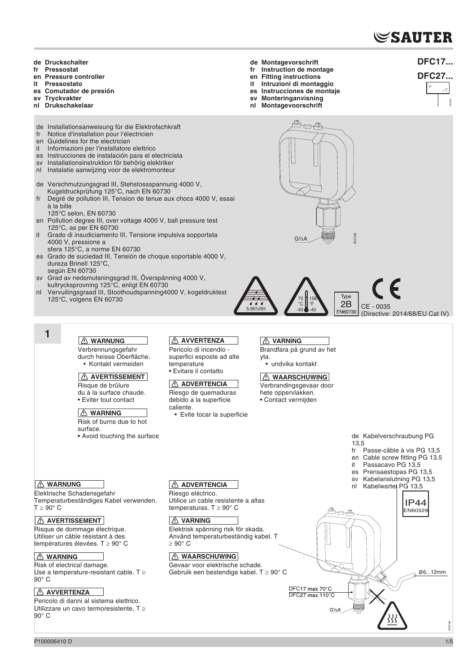# $\mathop{\mathbb{C}}$ SAUTER

- **de Druckschalter**
- **fr Pressostat**
- **en Pressure controller**
- **it Pressostato**
- **es Comutador de presión**
- **sv Tryckvakter**
- **nl Drukschakelaar**
- de Installationsanweisung für die Elektrofachkraft<br>fr Notice d'installation pour l'électricien
- Notice d'installation pour l'électricien
- en Guidelines for the electrician
- it Informazioni per l'installatore elettrico
- es Instrucciones de instalación para el electricista
- sv Installationsinstruktion för behörig elektriker
- nl Instalatie aanwijzing voor de elektromonteur
- de Verschmutzungsgrad III, Stehstossspannung 4000 V, Kugeldruckprüfung 125°C, nach EN 60730
- Degré de pollution III, Tension de tenue aux chocs 4000 V, essai à la bille
- 125°C selon, EN 60730
- en Pollution degree III, over voltage 4000 V, ball pressure test 125°C, as per EN 60730
- it Grado di insudiciamento III, Tensione impulsiva sopportata 4000 V, pressione a
- sfera 125°C, a norme EN 60730 es Grado de suciedad III, Tensión de choque soportable 4000 V, dureza Brinell 125°C,
- según EN 60730
- sv Grad av nedsmutsningsgrad III, Överspänning 4000 V, kultrycksprovning 125°C, enligt EN 60730
- nl Vervuilingsgraad III, Stoothoudspanning4000 V, kogeldruktest 125°C, volgens EN 60730
	- **1**

# **WARNUNG**

Verbrennungsgefahr durch heisse Oberfläche. • Kontakt vermeiden

# **AVERTISSEMENT**

Risque de brûlure du à la surface chaude. • Eviter tout contact

## **WARNING**

Temperaturbeständiges Kabel verwenden.

Use a temperature-resistant cable. T ≥

Pericolo di danni al sistema elettrico. Utilizzare un cavo termoresistente. T ≥

Risk of burns due to hot surface.

• Avoid touching the surface

# **AVVERTENZA**

Pericolo di incendio superfici esposte ad alte temperature • Evitare il contatto

# **ADVERTENCIA**

Riesgo de quemaduras debido a la superficie caliente.

# *A* **VARNING**

5-95%RH

 $\epsilon$ 

**de Montagevorschrift fr Instruction de montage en Fitting instructions Intruzioni di montaggio es Instrucciones de montaje sv Monteringanvisning nl Montagevoorschrift**

> Brandfara på grund av het yta. • undvika kontakt

G½A

O

70 °C  $-40$  158 °F

B12738

 $\left| \begin{array}{c} 2B \\ CE - 0035 \\ (Directionative) \end{array} \right|$ 

Type

(Directive: 2014/68/EU Cat IV)



**DFC17...**

# **DFC27...**



*A* WARNUNG

**WARNING**

**AVVERTENZA** 

90° C

 $90^\circ$  C

 $T > 90^\circ C$ 

Elektrische Schadensgefahr

**AVERTISSEMENT** Risque de dommage électrique. Utiliser un câble résistant à des températures élevées. T ≥ 90° C

Risk of electrical damage.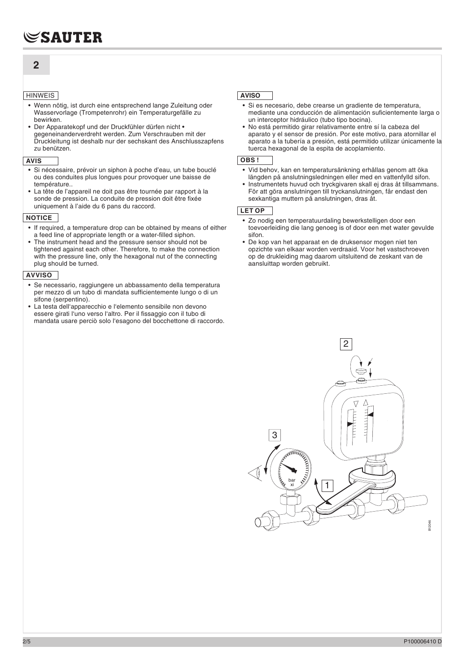# **2**

## **HINWEIS**

- Wenn nötig, ist durch eine entsprechend lange Zuleitung oder Wasservorlage (Trompetenrohr) ein Temperaturgefälle zu bewirken.
- Der Apparatekopf und der Druckfühler dürfen nicht gegeneinanderverdreht werden. Zum Verschrauben mit der Druckleitung ist deshalb nur der sechskant des Anschlusszapfens zu benützen.

#### **AVIS**

- Si nécessaire, prévoir un siphon à poche d'eau, un tube bouclé ou des conduites plus longues pour provoquer une baisse de température..
- La tête de l'appareil ne doit pas être tournée par rapport à la sonde de pression. La conduite de pression doit être fixée uniquement à l'aide du 6 pans du raccord.

# **NOTICE**

- If required, a temperature drop can be obtained by means of either a feed line of appropriate length or a water-filled siphon.
- The instrument head and the pressure sensor should not be tightened against each other. Therefore, to make the connection with the pressure line, only the hexagonal nut of the connecting plug should be turned.

## **AVVISO**

- Se necessario, raggiungere un abbassamento della temperatura per mezzo di un tubo di mandata sufficientemente lungo o di un sifone (serpentino).
- La testa dell'apparecchio e l'elemento sensibile non devono essere girati l'uno verso l'altro. Per il fissaggio con il tubo di mandata usare perciò solo l'esagono del bocchettone di raccordo.

# **AVISO**

- Si es necesario, debe crearse un gradiente de temperatura, mediante una conducción de alimentación suficientemente larga o un interceptor hidráulico (tubo tipo bocina).
- No está permitido girar relativamente entre sí la cabeza del aparato y el sensor de presión. Por este motivo, para atornillar el aparato a la tubería a presión, está permitido utilizar únicamente la tuerca hexagonal de la espita de acoplamiento.

#### **OBS !**

- Vid behov, kan en temperatursänkning erhållas genom att öka längden på anslutningsledningen eller med en vattenfylld sifon.
- Instrumentets huvud och tryckgivaren skall ej dras åt tillsammans. För att göra anslutningen till tryckanslutningen, får endast den sexkantiga muttern på anslutningen, dras åt.

#### **LET OP**

- Zo nodig een temperatuurdaling bewerkstelligen door een toevoerleiding die lang genoeg is of door een met water gevulde sifon.
- De kop van het apparaat en de druksensor mogen niet ten opzichte van elkaar worden verdraaid. Voor het vastschroeven op de drukleiding mag daarom uitsluitend de zeskant van de aansluittap worden gebruikt.

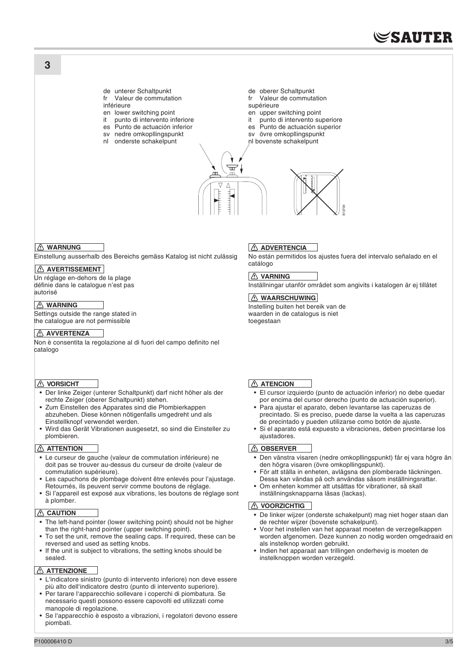# **SAUTER**

de unterer Schaltpunkt

- fr Valeur de commutation
- inférieure
- en lower switching point
- it punto di intervento inferiore
- es Punto de actuación inferior sv nedre omkopllingspunkt
- nl onderste schakelpunt
- de oberer Schaltpunkt fr Valeur de commutation
- supérieure
- en upper switching point
- it punto di intervento superiore
- es Punto de actuación superior
- sv övre omkopllingspunkt
- nl bovenste schakelpunt



# *I* **WARNUNG**

**3**

Einstellung ausserhalb des Bereichs gemäss Katalog ist nicht zulässig

# **AVERTISSEMENT**

Un réglage en-dehors de la plage définie dans le catalogue n'est pas autorisé

# *A* WARNING

Settings outside the range stated in the catalogue are not permissible

## **AVVERTENZA**

Non è consentita la regolazione al di fuori del campo definito nel catalogo

#### **B** VORSICHT

- Der linke Zeiger (unterer Schaltpunkt) darf nicht höher als der rechte Zeiger (oberer Schaltpunkt) stehen.
- Zum Einstellen des Apparates sind die Plombierkappen abzuheben. Diese können nötigenfalls umgedreht und als Einstellknopf verwendet werden.
- Wird das Gerät Vibrationen ausgesetzt, so sind die Einsteller zu plombieren.

#### **ATTENTION**

- Le curseur de gauche (valeur de commutation inférieure) ne doit pas se trouver au-dessus du curseur de droite (valeur de commutation supérieure).
- Les capuchons de plombage doivent être enlevés pour l'ajustage. Retournés, ils peuvent servir comme boutons de réglage.
- Si l'appareil est exposé aux vibrations, les boutons de réglage sont à plomber.

#### *CAUTION*

- The left-hand pointer (lower switching point) should not be higher than the right-hand pointer (upper switching point).
- To set the unit, remove the sealing caps. If required, these can be reversed and used as setting knobs.
- If the unit is subject to vibrations, the setting knobs should be sealed.

#### **ATTENZIONE**

- L'indicatore sinistro (punto di intervento inferiore) non deve essere più alto dell'indicatore destro (punto di intervento superiore).
- Per tarare l'apparecchio sollevare i coperchi di piombatura. Se necessario questi possono essere capovolti ed utilizzati come manopole di regolazione.
- Se l'apparecchio è esposto a vibrazioni, i regolatori devono essere piombati.

# **ADVERTENCIA**

No están permitidos los ajustes fuera del intervalo señalado en el catálogo

## *A* **VARNING**

Inställningar utanför området som angivits i katalogen är ej tillåtet

#### **A** WAARSCHUWING

Instelling buiten het bereik van de waarden in de catalogus is niet toegestaan

# **ATENCION**

- El cursor izquierdo (punto de actuación inferior) no debe quedar por encima del cursor derecho (punto de actuación superior).
- Para ajustar el aparato, deben levantarse las caperuzas de precintado. Si es preciso, puede darse la vuelta a las caperuzas de precintado y pueden utilizarse como botón de ajuste.
- Si el aparato está expuesto a vibraciones, deben precintarse los ajustadores.

#### *C* OBSERVER

- Den vänstra visaren (nedre omkopllingspunkt) får ej vara högre än den högra visaren (övre omkopllingspunkt).
- För att ställa in enheten, avlägsna den plomberade täckningen. Dessa kan vändas på och användas såsom inställningsrattar.
- Om enheten kommer att utsättas för vibrationer, så skall inställningsknapparna låsas (lackas).

#### *I* VOORZICHTIG

- De linker wijzer (onderste schakelpunt) mag niet hoger staan dan de rechter wijzer (bovenste schakelpunt).
- Voor het instellen van het apparaat moeten de verzegelkappen worden afgenomen. Deze kunnen zo nodig worden omgedraaid en als instelknop worden gebruikt. **EXECTS AND THE SET CONCRET CONCRET CONCRET CONCRET CONCRET CONCRET CONCRET CONCRET CONCRET CONCRET CONCRET CONCRET CONCRET CONCRET CONCRET CONCRET CONCRET CONCRET CONCRET CONCRET CONCRET CONCRET CONCRET CONCRET CONCRET CO**
- Indien het apparaat aan trillingen onderhevig is moeten de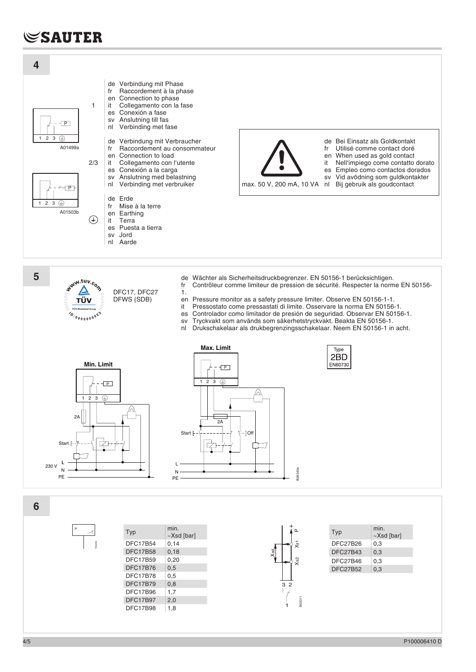# **SAUTER**